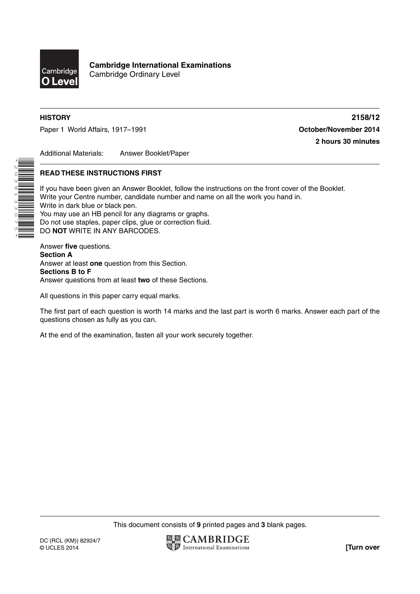

\*2039133075\*

Paper 1 World Affairs, 1917-1991 **Constanting Constanting Constanting Constanting Constanting Constanting Constanting Constanting Constanting Constanting Constanting Constanting Constanting Constanting Constanting Constant** 

**HISTORY 2158/12 2 hours 30 minutes**

Additional Materials: Answer Booklet/Paper

#### **READ THESE INSTRUCTIONS FIRST**

If you have been given an Answer Booklet, follow the instructions on the front cover of the Booklet. Write your Centre number, candidate number and name on all the work you hand in. Write in dark blue or black pen. You may use an HB pencil for any diagrams or graphs. Do not use staples, paper clips, glue or correction fluid. DO **NOT** WRITE IN ANY BARCODES.

Answer **five** questions. **Section A** Answer at least **one** question from this Section. **Sections B to F** Answer questions from at least **two** of these Sections.

All questions in this paper carry equal marks.

The first part of each question is worth 14 marks and the last part is worth 6 marks. Answer each part of the questions chosen as fully as you can.

At the end of the examination, fasten all your work securely together.

This document consists of **9** printed pages and **3** blank pages.

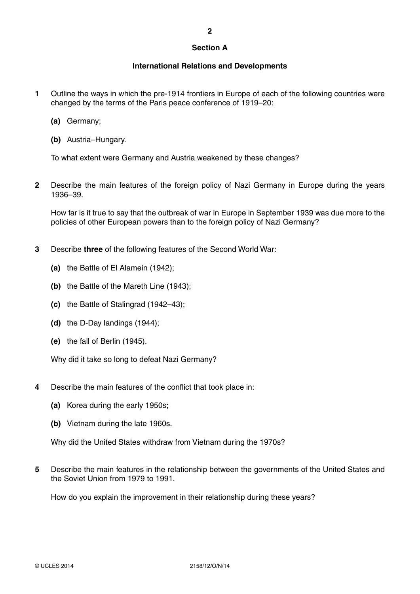# **Section A**

# **International Relations and Developments**

- **1** Outline the ways in which the pre-1914 frontiers in Europe of each of the following countries were changed by the terms of the Paris peace conference of 1919–20:
	- **(a)** Germany;
	- **(b)** Austria–Hungary.

To what extent were Germany and Austria weakened by these changes?

**2** Describe the main features of the foreign policy of Nazi Germany in Europe during the years 1936–39.

How far is it true to say that the outbreak of war in Europe in September 1939 was due more to the policies of other European powers than to the foreign policy of Nazi Germany?

- **3** Describe **three** of the following features of the Second World War:
	- **(a)** the Battle of El Alamein (1942);
	- **(b)** the Battle of the Mareth Line (1943);
	- **(c)** the Battle of Stalingrad (1942–43);
	- **(d)** the D-Day landings (1944);
	- **(e)** the fall of Berlin (1945).

Why did it take so long to defeat Nazi Germany?

- **4** Describe the main features of the conflict that took place in:
	- **(a)** Korea during the early 1950s;
	- **(b)** Vietnam during the late 1960s.

Why did the United States withdraw from Vietnam during the 1970s?

**5** Describe the main features in the relationship between the governments of the United States and the Soviet Union from 1979 to 1991.

How do you explain the improvement in their relationship during these years?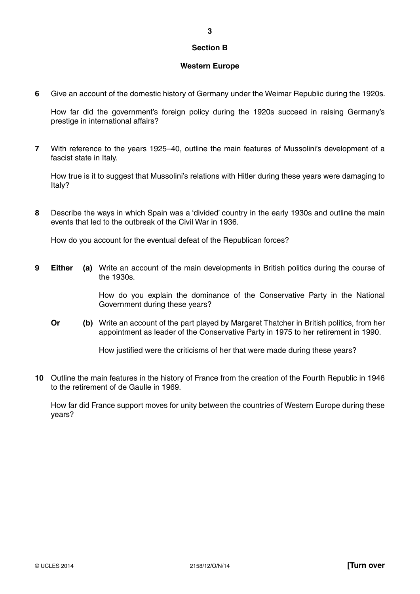# **Section B**

#### **Western Europe**

**6** Give an account of the domestic history of Germany under the Weimar Republic during the 1920s.

How far did the government's foreign policy during the 1920s succeed in raising Germany's prestige in international affairs?

**7** With reference to the years 1925–40, outline the main features of Mussolini's development of a fascist state in Italy.

How true is it to suggest that Mussolini's relations with Hitler during these years were damaging to Italy?

**8** Describe the ways in which Spain was a 'divided' country in the early 1930s and outline the main events that led to the outbreak of the Civil War in 1936.

How do you account for the eventual defeat of the Republican forces?

**9 Either (a)** Write an account of the main developments in British politics during the course of the 1930s.

> How do you explain the dominance of the Conservative Party in the National Government during these years?

**Or** (b) Write an account of the part played by Margaret Thatcher in British politics, from her appointment as leader of the Conservative Party in 1975 to her retirement in 1990.

How justified were the criticisms of her that were made during these years?

**10** Outline the main features in the history of France from the creation of the Fourth Republic in 1946 to the retirement of de Gaulle in 1969.

How far did France support moves for unity between the countries of Western Europe during these years?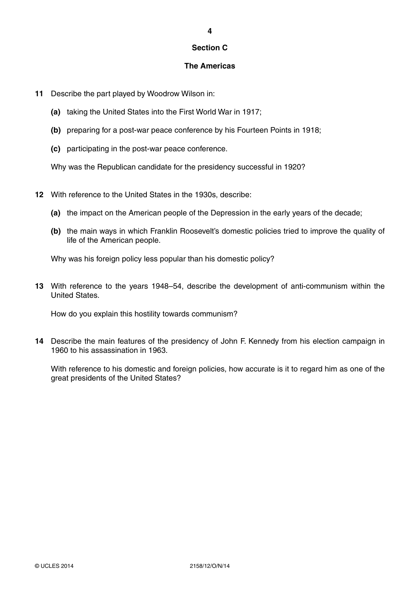# **Section C**

### **The Americas**

- **11** Describe the part played by Woodrow Wilson in:
	- **(a)** taking the United States into the First World War in 1917;
	- **(b)** preparing for a post-war peace conference by his Fourteen Points in 1918;
	- **(c)** participating in the post-war peace conference.

Why was the Republican candidate for the presidency successful in 1920?

- **12** With reference to the United States in the 1930s, describe:
	- **(a)** the impact on the American people of the Depression in the early years of the decade;
	- **(b)** the main ways in which Franklin Roosevelt's domestic policies tried to improve the quality of life of the American people.

Why was his foreign policy less popular than his domestic policy?

**13** With reference to the years 1948–54, describe the development of anti-communism within the United States.

How do you explain this hostility towards communism?

**14** Describe the main features of the presidency of John F. Kennedy from his election campaign in 1960 to his assassination in 1963.

With reference to his domestic and foreign policies, how accurate is it to regard him as one of the great presidents of the United States?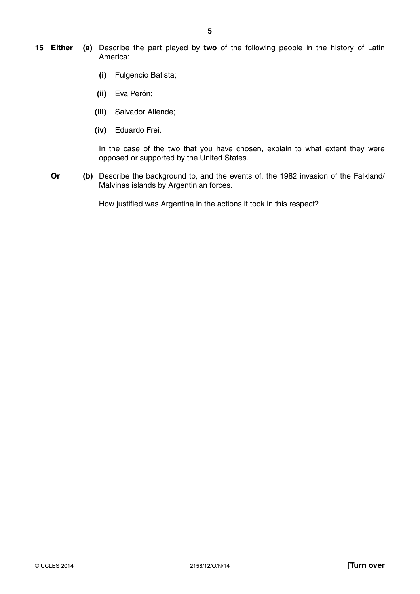- **15 Either (a)** Describe the part played by **two** of the following people in the history of Latin America:
	- **(i)** Fulgencio Batista;
	- **(ii)** Eva Perón;
	- **(iii)** Salvador Allende;
	- **(iv)** Eduardo Frei.

In the case of the two that you have chosen, explain to what extent they were opposed or supported by the United States.

**Or** (b) Describe the background to, and the events of, the 1982 invasion of the Falkland/ Malvinas islands by Argentinian forces.

How justified was Argentina in the actions it took in this respect?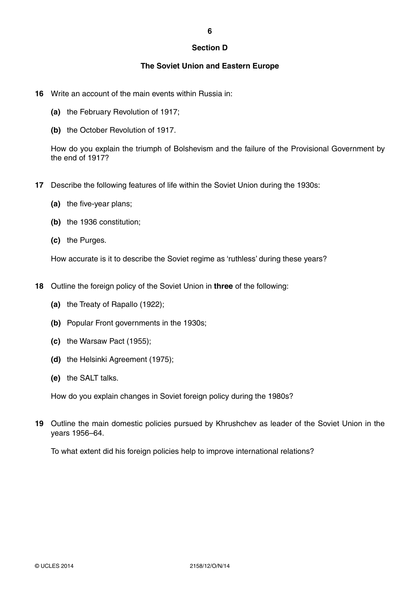# **Section D**

# **The Soviet Union and Eastern Europe**

- **16** Write an account of the main events within Russia in:
	- **(a)** the February Revolution of 1917;
	- **(b)** the October Revolution of 1917.

How do you explain the triumph of Bolshevism and the failure of the Provisional Government by the end of 1917?

- **17** Describe the following features of life within the Soviet Union during the 1930s:
	- **(a)** the five-year plans;
	- **(b)** the 1936 constitution;
	- **(c)** the Purges.

How accurate is it to describe the Soviet regime as 'ruthless' during these years?

- **18** Outline the foreign policy of the Soviet Union in **three** of the following:
	- **(a)** the Treaty of Rapallo (1922);
	- **(b)** Popular Front governments in the 1930s;
	- **(c)** the Warsaw Pact (1955);
	- **(d)** the Helsinki Agreement (1975);
	- **(e)** the SALT talks.

How do you explain changes in Soviet foreign policy during the 1980s?

**19** Outline the main domestic policies pursued by Khrushchev as leader of the Soviet Union in the years 1956–64.

To what extent did his foreign policies help to improve international relations?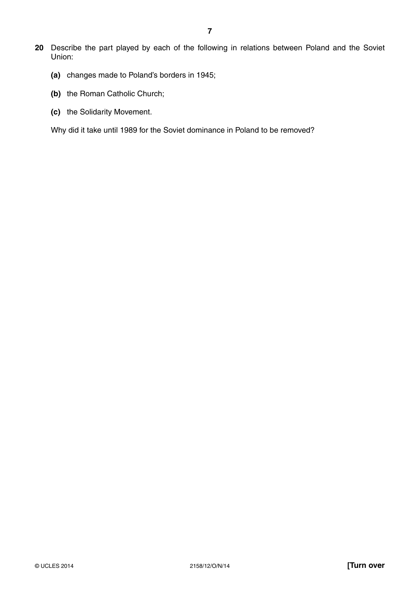- **20** Describe the part played by each of the following in relations between Poland and the Soviet Union:
	- **(a)** changes made to Poland's borders in 1945;
	- **(b)** the Roman Catholic Church;
	- **(c)** the Solidarity Movement.

Why did it take until 1989 for the Soviet dominance in Poland to be removed?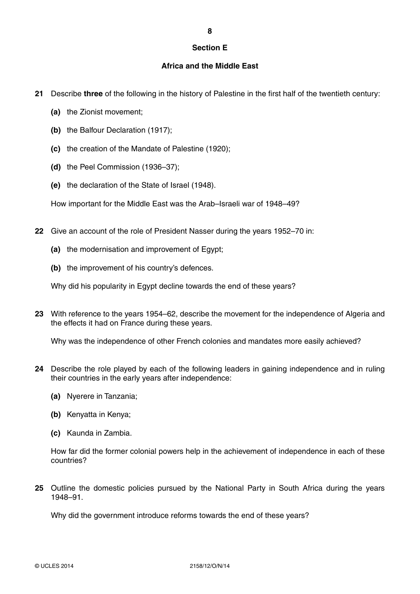### **Section E**

# **Africa and the Middle East**

- **21** Describe **three** of the following in the history of Palestine in the first half of the twentieth century:
	- **(a)** the Zionist movement;
	- **(b)** the Balfour Declaration (1917);
	- **(c)** the creation of the Mandate of Palestine (1920);
	- **(d)** the Peel Commission (1936–37);
	- **(e)** the declaration of the State of Israel (1948).

How important for the Middle East was the Arab–Israeli war of 1948–49?

- **22** Give an account of the role of President Nasser during the years 1952–70 in:
	- **(a)** the modernisation and improvement of Egypt;
	- **(b)** the improvement of his country's defences.

Why did his popularity in Egypt decline towards the end of these years?

**23** With reference to the years 1954–62, describe the movement for the independence of Algeria and the effects it had on France during these years.

Why was the independence of other French colonies and mandates more easily achieved?

- **24** Describe the role played by each of the following leaders in gaining independence and in ruling their countries in the early years after independence:
	- **(a)** Nyerere in Tanzania;
	- **(b)** Kenyatta in Kenya;
	- **(c)** Kaunda in Zambia.

How far did the former colonial powers help in the achievement of independence in each of these countries?

**25** Outline the domestic policies pursued by the National Party in South Africa during the years 1948–91.

Why did the government introduce reforms towards the end of these years?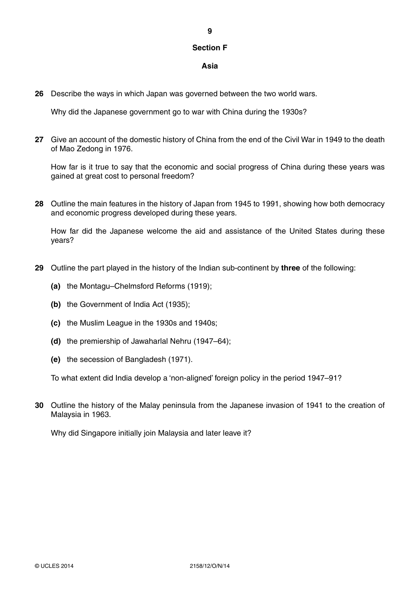# **Section F**

### **Asia**

**26** Describe the ways in which Japan was governed between the two world wars.

Why did the Japanese government go to war with China during the 1930s?

**27** Give an account of the domestic history of China from the end of the Civil War in 1949 to the death of Mao Zedong in 1976.

How far is it true to say that the economic and social progress of China during these years was gained at great cost to personal freedom?

**28** Outline the main features in the history of Japan from 1945 to 1991, showing how both democracy and economic progress developed during these years.

How far did the Japanese welcome the aid and assistance of the United States during these years?

- **29** Outline the part played in the history of the Indian sub-continent by **three** of the following:
	- **(a)** the Montagu–Chelmsford Reforms (1919);
	- **(b)** the Government of India Act (1935);
	- **(c)** the Muslim League in the 1930s and 1940s;
	- **(d)** the premiership of Jawaharlal Nehru (1947–64);
	- **(e)** the secession of Bangladesh (1971).

To what extent did India develop a 'non-aligned' foreign policy in the period 1947–91?

**30** Outline the history of the Malay peninsula from the Japanese invasion of 1941 to the creation of Malaysia in 1963.

Why did Singapore initially join Malaysia and later leave it?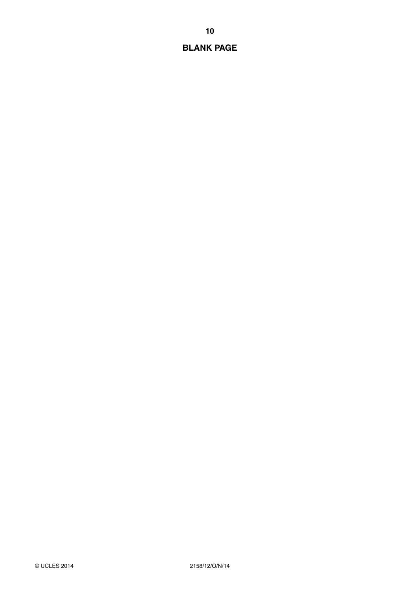# **BLANK PAGE**

**10**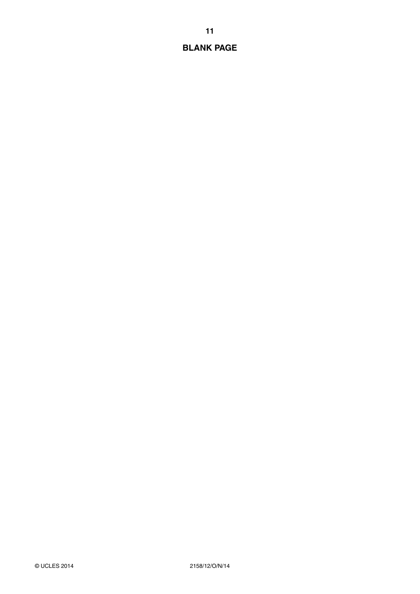# **BLANK PAGE**

**11**